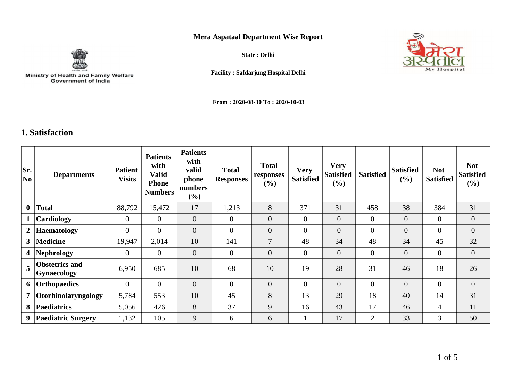## **Mera Aspataal Department Wise Report**



Ministry of Health and Family Welfare<br>Government of India

**State : Delhi**



**Facility : Safdarjung Hospital Delhi**

**From : 2020-08-30 To : 2020-10-03**

## **1. Satisfaction**

| Sr.<br>No               | <b>Departments</b>                          | <b>Patient</b><br><b>Visits</b> | <b>Patients</b><br>with<br>Valid<br><b>Phone</b><br><b>Numbers</b> | <b>Patients</b><br>with<br>valid<br>phone<br>numbers<br>$(\%)$ | <b>Total</b><br><b>Responses</b> | <b>Total</b><br>responses<br>(%) | <b>Very</b><br><b>Satisfied</b> | <b>Very</b><br><b>Satisfied</b><br>$(\%)$ | <b>Satisfied</b> | <b>Satisfied</b><br>(%) | <b>Not</b><br><b>Satisfied</b> | <b>Not</b><br><b>Satisfied</b><br>$(\%)$ |
|-------------------------|---------------------------------------------|---------------------------------|--------------------------------------------------------------------|----------------------------------------------------------------|----------------------------------|----------------------------------|---------------------------------|-------------------------------------------|------------------|-------------------------|--------------------------------|------------------------------------------|
| $\mathbf{0}$            | <b>Total</b>                                | 88,792                          | 15,472                                                             | 17                                                             | 1,213                            | 8                                | 371                             | 31                                        | 458              | 38                      | 384                            | 31                                       |
| $\mathbf{1}$            | Cardiology                                  | $\overline{0}$                  | $\theta$                                                           | $\mathbf{0}$                                                   | $\theta$                         | $\overline{0}$                   | $\overline{0}$                  | $\overline{0}$                            | $\overline{0}$   | $\overline{0}$          | $\overline{0}$                 | $\overline{0}$                           |
| $2\vert$                | <b>Haematology</b>                          | $\mathbf{0}$                    | $\overline{0}$                                                     | $\overline{0}$                                                 | $\boldsymbol{0}$                 | $\overline{0}$                   | $\overline{0}$                  | $\overline{0}$                            | $\overline{0}$   | $\overline{0}$          | $\mathbf{0}$                   | $\overline{0}$                           |
| 3 <sup>1</sup>          | <b>Medicine</b>                             | 19,947                          | 2,014                                                              | 10                                                             | 141                              | $\overline{7}$                   | 48                              | 34                                        | 48               | 34                      | 45                             | 32                                       |
| $\overline{\mathbf{4}}$ | Nephrology                                  | $\overline{0}$                  | $\theta$                                                           | $\overline{0}$                                                 | $\overline{0}$                   | $\overline{0}$                   | $\overline{0}$                  | $\mathbf{0}$                              | $\overline{0}$   | $\overline{0}$          | $\mathbf{0}$                   | $\overline{0}$                           |
| 5                       | <b>Obstetrics and</b><br><b>Gynaecology</b> | 6,950                           | 685                                                                | 10                                                             | 68                               | 10                               | 19                              | 28                                        | 31               | 46                      | 18                             | 26                                       |
| 6                       | Orthopaedics                                | $\overline{0}$                  | $\Omega$                                                           | $\overline{0}$                                                 | $\overline{0}$                   | $\overline{0}$                   | $\overline{0}$                  | $\overline{0}$                            | $\overline{0}$   | $\overline{0}$          | $\overline{0}$                 | $\overline{0}$                           |
| $\overline{7}$          | <i><b>Otorhinolaryngology</b></i>           | 5,784                           | 553                                                                | 10                                                             | 45                               | 8                                | 13                              | 29                                        | 18               | 40                      | 14                             | 31                                       |
| 8                       | <b>Paediatrics</b>                          | 5,056                           | 426                                                                | 8                                                              | 37                               | 9                                | 16                              | 43                                        | 17               | 46                      | $\overline{4}$                 | 11                                       |
| 9                       | <b>Paediatric Surgery</b>                   | 1,132                           | 105                                                                | 9                                                              | 6                                | 6                                | 1                               | 17                                        | $\overline{2}$   | 33                      | 3                              | 50                                       |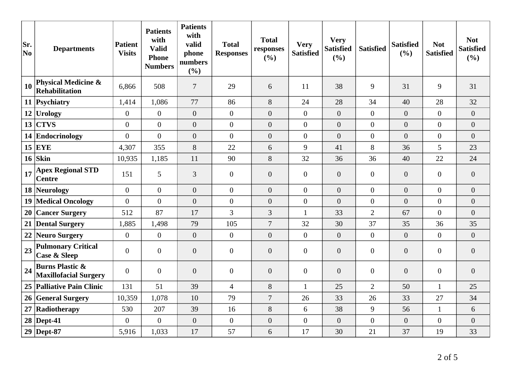| Sr.<br>No | <b>Departments</b>                                         | <b>Patient</b><br><b>Visits</b> | <b>Patients</b><br>with<br><b>Valid</b><br><b>Phone</b><br><b>Numbers</b> | <b>Patients</b><br>with<br>valid<br>phone<br>numbers<br>(%) | <b>Total</b><br><b>Responses</b> | <b>Total</b><br>responses<br>(%) | <b>Very</b><br><b>Satisfied</b> | <b>Very</b><br><b>Satisfied</b><br>(%) | <b>Satisfied</b> | <b>Satisfied</b><br>(%) | <b>Not</b><br><b>Satisfied</b> | <b>Not</b><br><b>Satisfied</b><br>(%) |
|-----------|------------------------------------------------------------|---------------------------------|---------------------------------------------------------------------------|-------------------------------------------------------------|----------------------------------|----------------------------------|---------------------------------|----------------------------------------|------------------|-------------------------|--------------------------------|---------------------------------------|
| 10        | <b>Physical Medicine &amp;</b><br>Rehabilitation           | 6,866                           | 508                                                                       | $\overline{7}$                                              | 29                               | 6                                | 11                              | 38                                     | 9                | 31                      | 9                              | 31                                    |
|           | 11 Psychiatry                                              | 1,414                           | 1,086                                                                     | 77                                                          | 86                               | 8                                | 24                              | 28                                     | 34               | 40                      | 28                             | 32                                    |
|           | 12 Urology                                                 | $\overline{0}$                  | $\overline{0}$                                                            | $\overline{0}$                                              | $\overline{0}$                   | $\overline{0}$                   | $\overline{0}$                  | $\boldsymbol{0}$                       | $\overline{0}$   | $\overline{0}$          | $\overline{0}$                 | $\overline{0}$                        |
| 13        | <b>CTVS</b>                                                | $\overline{0}$                  | $\overline{0}$                                                            | $\overline{0}$                                              | $\overline{0}$                   | $\overline{0}$                   | $\overline{0}$                  | $\overline{0}$                         | $\overline{0}$   | $\overline{0}$          | $\overline{0}$                 | $\overline{0}$                        |
|           | 14 Endocrinology                                           | $\overline{0}$                  | $\overline{0}$                                                            | $\overline{0}$                                              | $\overline{0}$                   | $\overline{0}$                   | $\overline{0}$                  | $\overline{0}$                         | $\overline{0}$   | $\overline{0}$          | $\overline{0}$                 | $\overline{0}$                        |
|           | $15$ EYE                                                   | 4,307                           | 355                                                                       | 8                                                           | 22                               | 6                                | 9                               | 41                                     | 8                | 36                      | 5                              | 23                                    |
|           | $16$ Skin                                                  | 10,935                          | 1,185                                                                     | 11                                                          | 90                               | 8                                | 32                              | 36                                     | 36               | 40                      | 22                             | 24                                    |
| 17        | <b>Apex Regional STD</b><br><b>Centre</b>                  | 151                             | 5                                                                         | 3                                                           | $\overline{0}$                   | $\overline{0}$                   | $\mathbf{0}$                    | $\boldsymbol{0}$                       | $\overline{0}$   | $\overline{0}$          | $\overline{0}$                 | $\overline{0}$                        |
|           | 18 Neurology                                               | $\overline{0}$                  | $\overline{0}$                                                            | $\overline{0}$                                              | $\overline{0}$                   | $\overline{0}$                   | $\overline{0}$                  | $\overline{0}$                         | $\overline{0}$   | $\overline{0}$          | $\overline{0}$                 | $\overline{0}$                        |
|           | 19 Medical Oncology                                        | $\overline{0}$                  | $\overline{0}$                                                            | $\overline{0}$                                              | $\overline{0}$                   | $\overline{0}$                   | $\boldsymbol{0}$                | $\overline{0}$                         | $\overline{0}$   | $\overline{0}$          | $\overline{0}$                 | $\overline{0}$                        |
|           | 20 Cancer Surgery                                          | 512                             | 87                                                                        | 17                                                          | $\overline{3}$                   | 3                                | $\mathbf{1}$                    | 33                                     | $\overline{2}$   | 67                      | $\overline{0}$                 | $\boldsymbol{0}$                      |
|           | 21 Dental Surgery                                          | 1,885                           | 1,498                                                                     | 79                                                          | 105                              | $\boldsymbol{7}$                 | 32                              | 30                                     | 37               | 35                      | 36                             | 35                                    |
| 22        | Neuro Surgery                                              | $\overline{0}$                  | $\overline{0}$                                                            | $\overline{0}$                                              | $\overline{0}$                   | $\overline{0}$                   | $\overline{0}$                  | $\overline{0}$                         | $\overline{0}$   | $\overline{0}$          | $\Omega$                       | $\overline{0}$                        |
| 23        | <b>Pulmonary Critical</b><br><b>Case &amp; Sleep</b>       | $\boldsymbol{0}$                | $\mathbf{0}$                                                              | $\overline{0}$                                              | $\overline{0}$                   | $\overline{0}$                   | $\overline{0}$                  | $\overline{0}$                         | $\overline{0}$   | $\overline{0}$          | $\overline{0}$                 | $\overline{0}$                        |
| 24        | <b>Burns Plastic &amp;</b><br><b>Maxillofacial Surgery</b> | $\overline{0}$                  | $\overline{0}$                                                            | $\overline{0}$                                              | $\overline{0}$                   | $\overline{0}$                   | $\mathbf{0}$                    | $\overline{0}$                         | $\overline{0}$   | $\overline{0}$          | $\boldsymbol{0}$               | $\overline{0}$                        |
|           | 25 Palliative Pain Clinic                                  | 131                             | 51                                                                        | 39                                                          | $\overline{4}$                   | 8                                | $\mathbf{1}$                    | 25                                     | $\overline{2}$   | 50                      | $\mathbf{1}$                   | 25                                    |
|           | 26 General Surgery                                         | 10,359                          | 1,078                                                                     | 10                                                          | 79                               | $\overline{7}$                   | 26                              | 33                                     | 26               | 33                      | 27                             | 34                                    |
| 27        | Radiotherapy                                               | 530                             | 207                                                                       | 39                                                          | 16                               | 8                                | 6                               | 38                                     | 9                | 56                      | $\mathbf{1}$                   | 6                                     |
|           | $28$ Dept-41                                               | $\overline{0}$                  | $\boldsymbol{0}$                                                          | $\overline{0}$                                              | $\overline{0}$                   | $\boldsymbol{0}$                 | $\boldsymbol{0}$                | $\boldsymbol{0}$                       | $\boldsymbol{0}$ | $\overline{0}$          | $\boldsymbol{0}$               | $\overline{0}$                        |
|           | $29$ Dept-87                                               | 5,916                           | 1,033                                                                     | 17                                                          | 57                               | 6                                | 17                              | 30                                     | 21               | 37                      | 19                             | 33                                    |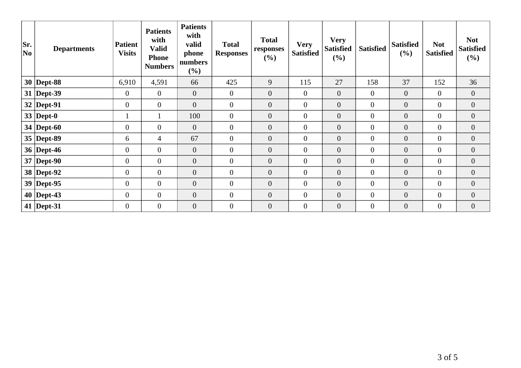| Sr.<br> No | <b>Departments</b> | <b>Patient</b><br><b>Visits</b> | <b>Patients</b><br>with<br><b>Valid</b><br><b>Phone</b><br><b>Numbers</b> | <b>Patients</b><br>with<br>valid<br>phone<br>numbers<br>(%) | <b>Total</b><br><b>Responses</b> | <b>Total</b><br>responses<br>(%) | <b>Very</b><br><b>Satisfied</b> | <b>Very</b><br><b>Satisfied</b><br>(%) | <b>Satisfied</b> | <b>Satisfied</b><br>(%) | <b>Not</b><br><b>Satisfied</b> | <b>Not</b><br><b>Satisfied</b><br>$(\%)$ |
|------------|--------------------|---------------------------------|---------------------------------------------------------------------------|-------------------------------------------------------------|----------------------------------|----------------------------------|---------------------------------|----------------------------------------|------------------|-------------------------|--------------------------------|------------------------------------------|
|            | $30$ Dept-88       | 6,910                           | 4,591                                                                     | 66                                                          | 425                              | 9                                | 115                             | 27                                     | 158              | 37                      | 152                            | 36                                       |
|            | $31$ Dept-39       | $\mathbf{0}$                    | $\overline{0}$                                                            | $\mathbf{0}$                                                | $\overline{0}$                   | $\overline{0}$                   | $\overline{0}$                  | $\mathbf{0}$                           | $\overline{0}$   | $\overline{0}$          | $\overline{0}$                 | $\overline{0}$                           |
|            | $32$ Dept-91       | $\overline{0}$                  | $\overline{0}$                                                            | $\overline{0}$                                              | $\overline{0}$                   | $\overline{0}$                   | $\overline{0}$                  | $\overline{0}$                         | $\overline{0}$   | $\boldsymbol{0}$        | $\overline{0}$                 | $\overline{0}$                           |
|            | 33   Dept-0        |                                 |                                                                           | 100                                                         | $\mathbf{0}$                     | $\overline{0}$                   | $\mathbf{0}$                    | $\boldsymbol{0}$                       | $\overline{0}$   | $\overline{0}$          | $\overline{0}$                 | $\overline{0}$                           |
|            | 34   Dept-60       | $\boldsymbol{0}$                | $\overline{0}$                                                            | $\mathbf{0}$                                                | $\mathbf{0}$                     | $\boldsymbol{0}$                 | $\boldsymbol{0}$                | $\boldsymbol{0}$                       | $\overline{0}$   | $\boldsymbol{0}$        | $\overline{0}$                 | $\overline{0}$                           |
|            | $35$ Dept-89       | 6                               | 4                                                                         | 67                                                          | $\overline{0}$                   | $\overline{0}$                   | $\mathbf{0}$                    | $\overline{0}$                         | $\overline{0}$   | $\overline{0}$          | $\overline{0}$                 | $\overline{0}$                           |
|            | 36   Dept-46       | $\overline{0}$                  | $\overline{0}$                                                            | $\mathbf{0}$                                                | $\overline{0}$                   | $\overline{0}$                   | $\overline{0}$                  | $\overline{0}$                         | $\overline{0}$   | $\overline{0}$          | $\overline{0}$                 | $\overline{0}$                           |
|            | $37$ Dept-90       | $\overline{0}$                  | $\overline{0}$                                                            | $\theta$                                                    | $\mathbf{0}$                     | $\overline{0}$                   | $\mathbf{0}$                    | $\mathbf{0}$                           | $\overline{0}$   | $\overline{0}$          | $\overline{0}$                 | $\overline{0}$                           |
|            | 38 Dept-92         | $\boldsymbol{0}$                | $\overline{0}$                                                            | $\boldsymbol{0}$                                            | $\overline{0}$                   | $\boldsymbol{0}$                 | $\boldsymbol{0}$                | $\boldsymbol{0}$                       | $\overline{0}$   | $\boldsymbol{0}$        | $\boldsymbol{0}$               | $\overline{0}$                           |
|            | $39$ Dept-95       | $\mathbf{0}$                    | $\overline{0}$                                                            | $\mathbf{0}$                                                | $\mathbf{0}$                     | $\overline{0}$                   | $\mathbf{0}$                    | $\boldsymbol{0}$                       | $\overline{0}$   | $\boldsymbol{0}$        | $\overline{0}$                 | $\boldsymbol{0}$                         |
|            | $40$ Dept-43       | $\mathbf{0}$                    | $\boldsymbol{0}$                                                          | $\boldsymbol{0}$                                            | $\mathbf{0}$                     | $\overline{0}$                   | $\mathbf{0}$                    | $\overline{0}$                         | $\overline{0}$   | $\boldsymbol{0}$        | $\overline{0}$                 | $\overline{0}$                           |
|            | 41   Dept-31       | $\overline{0}$                  | $\overline{0}$                                                            | $\overline{0}$                                              | $\overline{0}$                   | $\overline{0}$                   | $\mathbf{0}$                    | $\overline{0}$                         | $\overline{0}$   | $\overline{0}$          | $\overline{0}$                 | $\overline{0}$                           |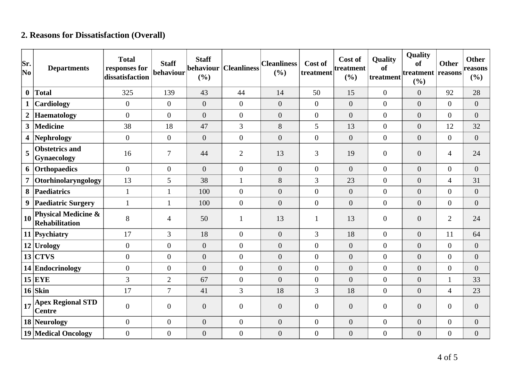## **2. Reasons for Dissatisfaction (Overall)**

| Sr.<br>$ N_{0} $ | <b>Departments</b>                                      | <b>Total</b><br>responses for<br>dissatisfaction | <b>Staff</b><br>behaviour | <b>Staff</b><br>behaviour<br>(%) | <b>Cleanliness</b> | <b>Cleanliness</b><br>(%) | Cost of<br>treatment | Cost of<br>treatment<br>(%) | <b>Quality</b><br>of<br>treatment | Quality<br>of<br>treatment reasons<br>(%) | <b>Other</b>     | <b>Other</b><br>reasons<br>$(\%)$ |
|------------------|---------------------------------------------------------|--------------------------------------------------|---------------------------|----------------------------------|--------------------|---------------------------|----------------------|-----------------------------|-----------------------------------|-------------------------------------------|------------------|-----------------------------------|
| $\mathbf{0}$     | <b>Total</b>                                            | 325                                              | 139                       | 43                               | 44                 | 14                        | 50                   | 15                          | $\boldsymbol{0}$                  | $\overline{0}$                            | 92               | 28                                |
| $\mathbf{1}$     | Cardiology                                              | $\overline{0}$                                   | $\overline{0}$            | $\overline{0}$                   | $\overline{0}$     | $\theta$                  | $\overline{0}$       | $\boldsymbol{0}$            | $\boldsymbol{0}$                  | $\overline{0}$                            | $\overline{0}$   | $\boldsymbol{0}$                  |
| $\overline{2}$   | <b>Haematology</b>                                      | $\overline{0}$                                   | $\overline{0}$            | $\overline{0}$                   | $\overline{0}$     | $\overline{0}$            | $\overline{0}$       | $\overline{0}$              | $\overline{0}$                    | $\overline{0}$                            | $\overline{0}$   | $\overline{0}$                    |
| $\mathbf{3}$     | <b>Medicine</b>                                         | 38                                               | 18                        | 47                               | 3                  | $8\,$                     | 5                    | 13                          | $\boldsymbol{0}$                  | $\overline{0}$                            | 12               | 32                                |
| 4                | <b>Nephrology</b>                                       | $\overline{0}$                                   | $\overline{0}$            | $\overline{0}$                   | $\overline{0}$     | $\theta$                  | $\overline{0}$       | $\overline{0}$              | $\boldsymbol{0}$                  | $\overline{0}$                            | $\overline{0}$   | $\overline{0}$                    |
| 5                | <b>Obstetrics and</b><br><b>Gynaecology</b>             | 16                                               | $\overline{7}$            | 44                               | $\overline{2}$     | 13                        | 3                    | 19                          | $\overline{0}$                    | $\overline{0}$                            | $\overline{4}$   | 24                                |
| 6                | Orthopaedics                                            | $\overline{0}$                                   | $\overline{0}$            | $\overline{0}$                   | $\overline{0}$     | $\theta$                  | $\overline{0}$       | $\overline{0}$              | $\boldsymbol{0}$                  | $\overline{0}$                            | $\overline{0}$   | $\overline{0}$                    |
| $\overline{7}$   | Otorhinolaryngology                                     | 13                                               | 5                         | 38                               | $\mathbf{1}$       | 8                         | 3                    | 23                          | $\overline{0}$                    | $\overline{0}$                            | $\overline{4}$   | 31                                |
| 8                | Paediatrics                                             | $\mathbf{1}$                                     | $\mathbf{1}$              | 100                              | $\overline{0}$     | $\overline{0}$            | $\overline{0}$       | $\boldsymbol{0}$            | $\boldsymbol{0}$                  | $\overline{0}$                            | $\boldsymbol{0}$ | $\boldsymbol{0}$                  |
| 9                | <b>Paediatric Surgery</b>                               | $\mathbf{1}$                                     | $\mathbf{1}$              | 100                              | $\overline{0}$     | $\theta$                  | $\overline{0}$       | $\overline{0}$              | $\overline{0}$                    | $\overline{0}$                            | $\overline{0}$   | $\boldsymbol{0}$                  |
| <b>10</b>        | <b>Physical Medicine &amp;</b><br><b>Rehabilitation</b> | $8\,$                                            | $\overline{4}$            | 50                               | $\mathbf{1}$       | 13                        | 1                    | 13                          | $\boldsymbol{0}$                  | $\overline{0}$                            | $\overline{2}$   | 24                                |
|                  | 11 Psychiatry                                           | 17                                               | 3                         | 18                               | $\overline{0}$     | $\overline{0}$            | 3                    | 18                          | $\boldsymbol{0}$                  | $\overline{0}$                            | 11               | 64                                |
|                  | $12$ Urology                                            | $\Omega$                                         | $\overline{0}$            | $\overline{0}$                   | $\overline{0}$     | $\overline{0}$            | $\overline{0}$       | $\overline{0}$              | $\overline{0}$                    | $\overline{0}$                            | $\overline{0}$   | $\overline{0}$                    |
|                  | $13$ CTVS                                               | $\overline{0}$                                   | $\overline{0}$            | $\boldsymbol{0}$                 | $\overline{0}$     | $\overline{0}$            | $\overline{0}$       | $\overline{0}$              | $\overline{0}$                    | $\overline{0}$                            | $\boldsymbol{0}$ | $\boldsymbol{0}$                  |
|                  | 14 Endocrinology                                        | $\theta$                                         | $\overline{0}$            | $\overline{0}$                   | $\overline{0}$     | $\theta$                  | $\overline{0}$       | $\overline{0}$              | $\overline{0}$                    | $\overline{0}$                            | $\boldsymbol{0}$ | $\overline{0}$                    |
|                  | $15$ EYE                                                | 3                                                | $\overline{2}$            | 67                               | $\overline{0}$     | $\overline{0}$            | $\overline{0}$       | $\overline{0}$              | $\boldsymbol{0}$                  | $\overline{0}$                            | $\mathbf{1}$     | 33                                |
|                  | $16$ Skin                                               | 17                                               | $\overline{7}$            | 41                               | $\overline{3}$     | 18                        | 3                    | 18                          | $\overline{0}$                    | $\overline{0}$                            | $\overline{4}$   | 23                                |
| 17               | <b>Apex Regional STD</b><br><b>Centre</b>               | $\theta$                                         | $\overline{0}$            | $\boldsymbol{0}$                 | $\overline{0}$     | $\boldsymbol{0}$          | $\overline{0}$       | $\boldsymbol{0}$            | $\overline{0}$                    | $\overline{0}$                            | $\boldsymbol{0}$ | $\boldsymbol{0}$                  |
|                  | 18 Neurology                                            | $\overline{0}$                                   | $\overline{0}$            | $\boldsymbol{0}$                 | $\overline{0}$     | $\boldsymbol{0}$          | $\overline{0}$       | $\boldsymbol{0}$            | $\overline{0}$                    | $\overline{0}$                            | $\boldsymbol{0}$ | $\boldsymbol{0}$                  |
|                  | <b>19 Medical Oncology</b>                              | $\overline{0}$                                   | $\boldsymbol{0}$          | $\boldsymbol{0}$                 | $\overline{0}$     | $\boldsymbol{0}$          | $\overline{0}$       | $\boldsymbol{0}$            | $\boldsymbol{0}$                  | $\boldsymbol{0}$                          | $\boldsymbol{0}$ | $\boldsymbol{0}$                  |